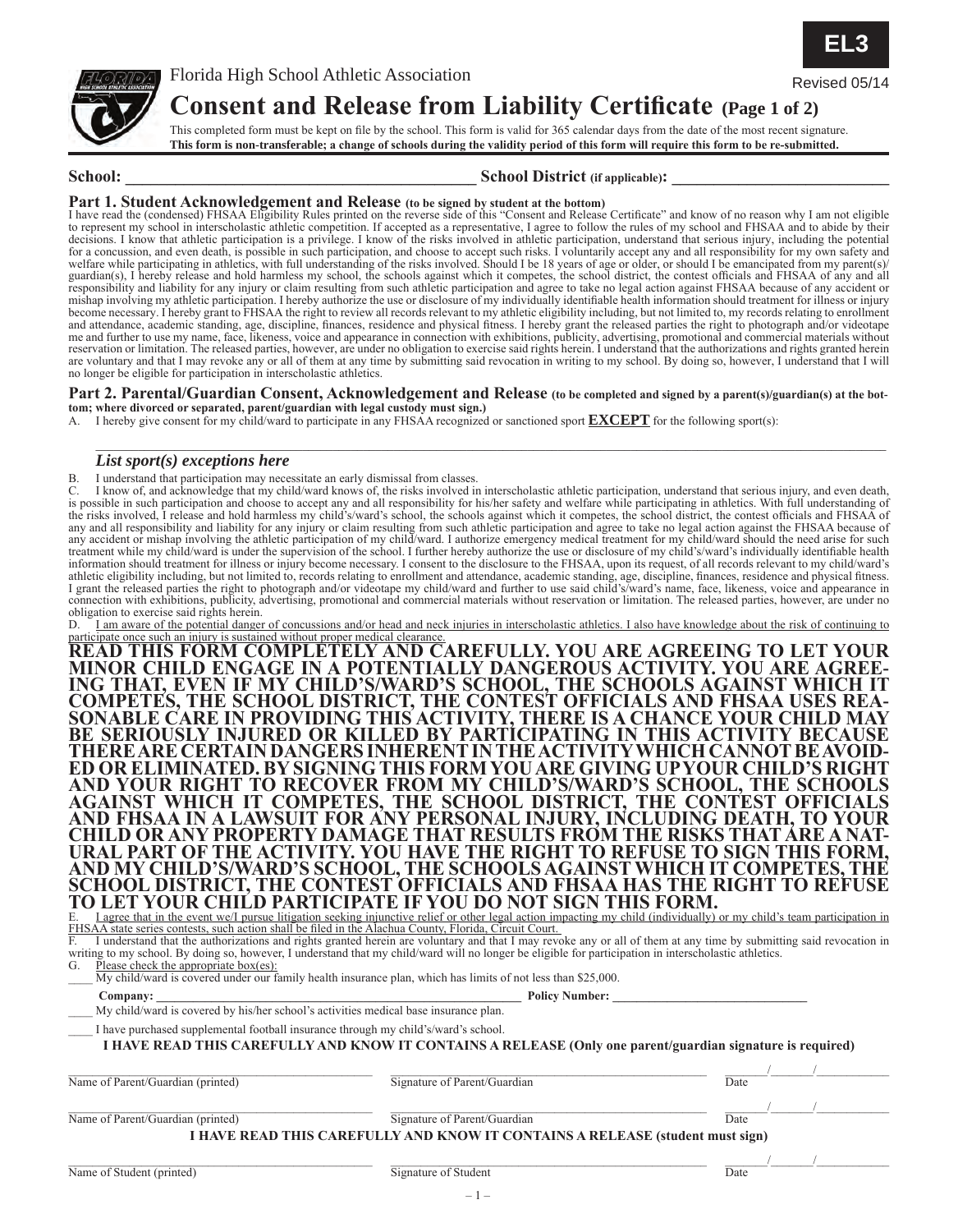

## **Consent and Release from Liability Certificate (Page 1 of 2)** Revised 05/14

This completed form must be kept on file by the school. This form is valid for 365 calendar days from the date of the most recent signature. **This form is non-transferable; a change of schools during the validity period of this form will require this form to be re-submitted.**

### School: **School:** School District (if applicable):

Part 1. Student Acknowledgement and Release (to be signed by student at the bottom)<br>I have read the (condensed) FHSAA Eligibility Rules printed on the reverse side of this "Consent and Release Certificate" and know of no r to represent my school in interscholastic athletic competition. If accepted as a representative, I agree to follow the rules of my school and FHSAA and to abide by their decisions. I know that athletic participation is a privilege. I know of the risks involved in athletic participation, understand that serious injury, including the potential for a concussion, and even death, is possible in such participation, and choose to accept such risks. I voluntarily accept any and all responsibility for my own safety and welfare while participating in athletics, with full understanding of the risks involved. Should I be 18 years of age or older, or should I be emancipated from my parent(s)/ guardian(s), I hereby release and hold harmless my school, the schools against which it competes, the school district, the contest officials and FHSAA of any and all responsibility and liability for any injury or claim resulting from such athletic participation and agree to take no legal action against FHSAA because of any accident or mishap involving my athletic participation. I hereby authorize the use or disclosure of my individually identifiable health information should treatment for illness or injury become necessary. I hereby grant to FHSAA the right to review all records relevant to my athletic eligibility including, but not limited to, my records relating to enrollment and attendance, academic standing, age, discipline, finances, residence and physical fitness. I hereby grant the released parties the right to photograph and/or videotape me and further to use my name, face, likeness, voice and appearance in connection with exhibitions, publicity, advertising, promotional and commercial materials without reservation or limitation. The released parties, however, are under no obligation to exercise said rights herein. I understand that the authorizations and rights granted herein are voluntary and that I may revoke any or all of them at any time by submitting said revocation in writing to my school. By doing so, however, I understand that I will no longer be eligible for participation in interscholastic athletics.

### **Part 2. Parental/Guardian Consent, Acknowledgement and Release (to be completed and signed by a parent(s)/guardian(s) at the bottom; where divorced or separated, parent/guardian with legal custody must sign.)**

A. I hereby give consent for my child/ward to participate in any FHSAA recognized or sanctioned sport **EXCEPT** for the following sport(s):

### *List sport(s) exceptions here*

B. I understand that participation may necessitate an early dismissal from classes.

C. I know of, and acknowledge that my child/ward knows of, the risks involved in interscholastic athletic participation, understand that serious injury, and even death, is possible in such participation and choose to accept any and all responsibility for his/her safety and welfare while participating in athletics. With full understanding of the risks involved, I release and hold harmless my child's/ward's school, the schools against which it competes, the school district, the contest officials and FHSAA of any and all responsibility and liability for any injury or claim resulting from such athletic participation and agree to take no legal action against the FHSAA because of any accident or mishap involving the athletic participation of my child/ward. I authorize emergency medical treatment for my child/ward should the need arise for such treatment while my child/ward is under the supervision of the school. I further hereby authorize the use or disclosure of my child's/ward's individually identifiable health information should treatment for illness or injury become necessary. I consent to the disclosure to the FHSAA, upon its request, of all records relevant to my child/ward's athletic eligibility including, but not limited to, records relating to enrollment and attendance, academic standing, age, discipline, finances, residence and physical fitness. I grant the released parties the right to photograph and/or videotape my child/ward and further to use said child's/ward's name, face, likeness, voice and appearance in connection with exhibitions, publicity, advertising, promotional and commercial materials without reservation or limitation. The released parties, however, are under no obligation to exercise said rights herein.

D. I am aware of the potential danger of concussions and/or head and neck injuries in interscholastic athletics. I also have knowledge about the risk of continuing to

participate once <u>such an injury is sustained without proper medical clearance.</u><br>READ THIS FORM COMPLETELY AND CAREFULLY. YOU ARE AGREEING TO LET YOUR **MINOR CHILD ENGAGE IN A POTENTIALLY DANGEROUS ACTIVITY. YOU ARE AGREE- ING THAT, EVEN IF MY CHILD'S/WARD'S SCHOOL, THE SCHOOLS AGAINST WHICH IT COMPETES, THE SCHOOL DISTRICT, THE CONTEST OFFICIALS AND FHSAA USES REA- SONABLE CARE IN PROVIDING THIS ACTIVITY, THERE IS A CHANCE YOUR CHILD MAY BE SERIOUSLY INJURED OR KILLED BY PARTICIPATING IN THIS ACTIVITY BECAUSE THERE ARE CERTAIN DANGERS INHERENT IN THE ACTIVITY WHICH CANNOT BE AVOID- ED OR ELIMINATED. BY SIGNING THIS FORM YOU ARE GIVING UP YOUR CHILD'S RIGHT AND YOUR RIGHT TO RECOVER FROM MY CHILD'S/WARD'S SCHOOL, THE SCHOOLS AGAINST WHICH IT COMPETES, THE SCHOOL DISTRICT, THE CONTEST OFFICIALS AND FHSAA IN A LAWSUIT FOR ANY PERSONAL INJURY, INCLUDING DEATH, TO YOUR CHILD OR ANY PROPERTY DAMAGE THAT RESULTS FROM THE RISKS THAT ARE A NAT- URAL PART OF THE ACTIVITY. YOU HAVE THE RIGHT TO REFUSE TO SIGN THIS FORM, AND MY CHILD'S/WARD'S SCHOOL, THE SCHOOLS AGAINST WHICH IT COMPETES, THE SCHOOL DISTRICT, THE CONTEST OFFICIALS AND FHSAA HAS THE RIGHT TO REFUSE TO LET YOUR CHILD PARTICIPATE IF YOU DO NOT SIGN THIS FORM.**

E. I agree that in the event we/I pursue litigation seeking injunctive relief or other legal action impacting my child (individually) or my child's team participation in FHSAA state series contests, such action shall be filed in the Alachua County, Florida, Circuit Court.

F. I understand that the authorizations and rights granted herein are voluntary and that I may revoke any or all of them at any time by submitting said revocation in writing to my school. By doing so, however, I understand that my child/ward will no longer be eligible for participation in interscholastic athletics.

G. Please check the appropriate box(es):

My child/ward is covered under our family health insurance plan, which has limits of not less than \$25,000.

 **Company: \_\_\_\_\_\_\_\_\_\_\_\_\_\_\_\_\_\_\_\_\_\_\_\_\_\_\_\_\_\_\_\_\_\_\_\_\_\_\_\_\_\_\_\_\_\_\_\_\_\_\_\_\_\_\_\_\_\_\_\_ Policy Number: \_\_\_\_\_\_\_\_\_\_\_\_\_\_\_\_\_\_\_\_\_\_\_\_\_\_\_\_\_\_\_\_**

My child/ward is covered by his/her school's activities medical base insurance plan.

I have purchased supplemental football insurance through my child's/ward's school.

**I HAVE READ THIS CAREFULLY AND KNOW IT CONTAINS A RELEASE (Only one parent/guardian signature is required)**

 $\_$  ,  $\_$  ,  $\_$  ,  $\_$  ,  $\_$  ,  $\_$  ,  $\_$  ,  $\_$  ,  $\_$  ,  $\_$  ,  $\_$  ,  $\_$  ,  $\_$  ,  $\_$  ,  $\_$  ,  $\_$  ,  $\_$  ,  $\_$  ,  $\_$  ,  $\_$  ,  $\_$  ,  $\_$  ,  $\_$  ,  $\_$  ,  $\_$  ,  $\_$  ,  $\_$  ,  $\_$  ,  $\_$  ,  $\_$  ,  $\_$  ,  $\_$  ,  $\_$  ,  $\_$  ,  $\_$  ,  $\_$  ,  $\_$  , Name of Parent/Guardian (printed) Signature of Parent/Guardian Date

Name of Parent/Guardian (printed) Signature of Parent/Guardian Date

 $\_$  ,  $\_$  ,  $\_$  ,  $\_$  ,  $\_$  ,  $\_$  ,  $\_$  ,  $\_$  ,  $\_$  ,  $\_$  ,  $\_$  ,  $\_$  ,  $\_$  ,  $\_$  ,  $\_$  ,  $\_$  ,  $\_$  ,  $\_$  ,  $\_$  ,  $\_$  ,  $\_$  ,  $\_$  ,  $\_$  ,  $\_$  ,  $\_$  ,  $\_$  ,  $\_$  ,  $\_$  ,  $\_$  ,  $\_$  ,  $\_$  ,  $\_$  ,  $\_$  ,  $\_$  ,  $\_$  ,  $\_$  ,  $\_$  , **I HAVE READ THIS CAREFULLY AND KNOW IT CONTAINS A RELEASE (student must sign)**

 $-1-$ 



\_\_\_\_\_\_\_\_\_\_\_\_\_\_\_\_\_\_\_\_\_\_\_\_\_\_\_\_\_\_\_\_\_\_\_\_\_\_\_\_\_\_\_\_\_\_\_\_\_\_\_\_\_\_\_\_\_\_\_\_\_\_\_\_\_\_\_\_\_\_\_\_\_\_\_\_\_\_\_\_\_\_\_\_\_\_\_\_\_\_\_\_\_\_\_\_\_\_\_\_\_\_\_\_\_\_\_\_\_\_\_\_\_\_\_\_\_\_\_\_\_\_\_\_\_\_\_\_\_\_